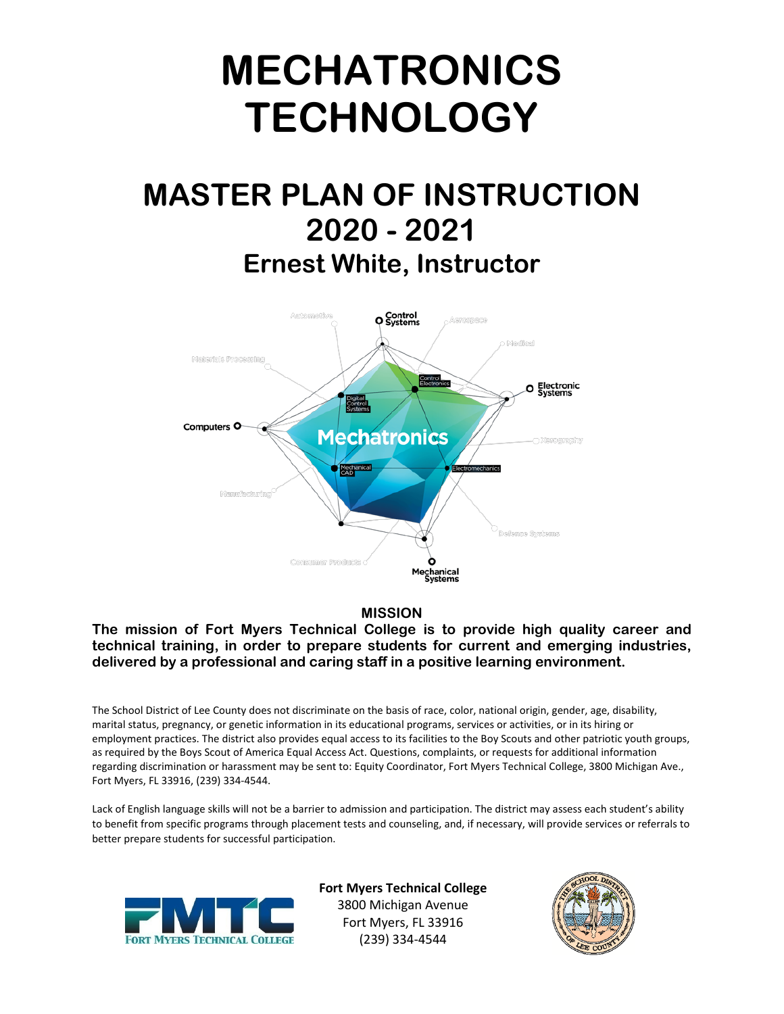# **MECHATRONICS TECHNOLOGY**

# **MASTER PLAN OF INSTRUCTION 2020 - 2021 Ernest White, Instructor**



#### **MISSION**

**The mission of Fort Myers Technical College is to provide high quality career and technical training, in order to prepare students for current and emerging industries, delivered by a professional and caring staff in a positive learning environment.**

The School District of Lee County does not discriminate on the basis of race, color, national origin, gender, age, disability, marital status, pregnancy, or genetic information in its educational programs, services or activities, or in its hiring or employment practices. The district also provides equal access to its facilities to the Boy Scouts and other patriotic youth groups, as required by the Boys Scout of America Equal Access Act. Questions, complaints, or requests for additional information regarding discrimination or harassment may be sent to: Equity Coordinator, Fort Myers Technical College, 3800 Michigan Ave., Fort Myers, FL 33916, (239) 334-4544.

Lack of English language skills will not be a barrier to admission and participation. The district may assess each student's ability to benefit from specific programs through placement tests and counseling, and, if necessary, will provide services or referrals to better prepare students for successful participation.



**Fort Myers Technical College** 3800 Michigan Avenue Fort Myers, FL 33916 (239) 334-4544

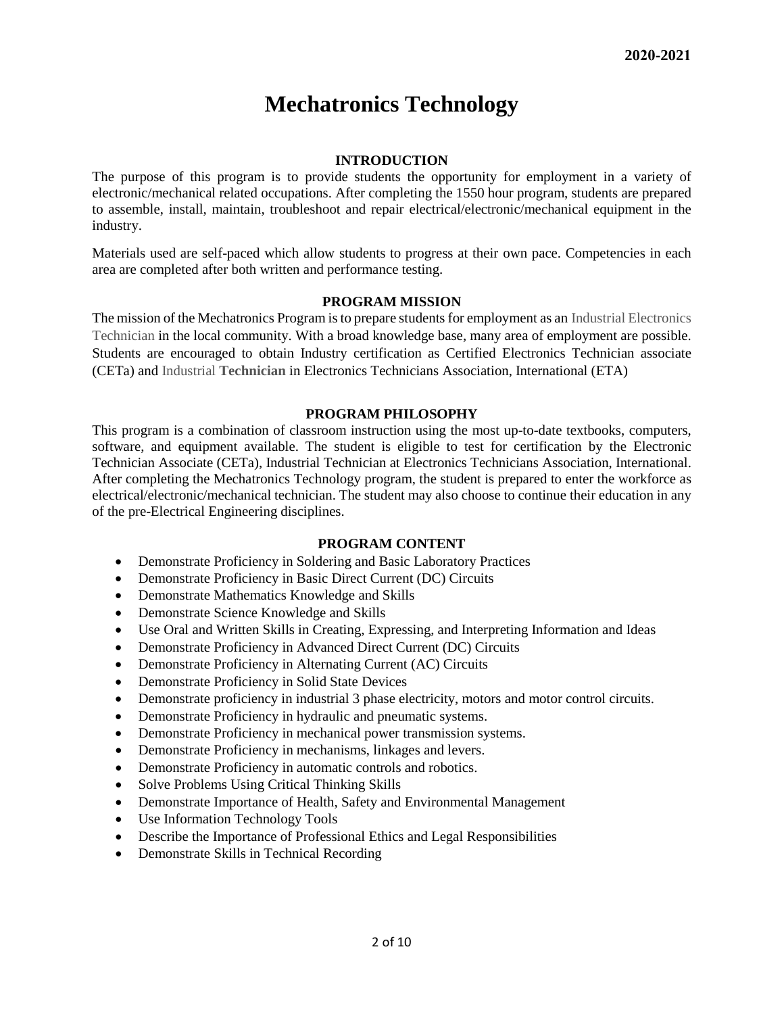## **Mechatronics Technology**

#### **INTRODUCTION**

The purpose of this program is to provide students the opportunity for employment in a variety of electronic/mechanical related occupations. After completing the 1550 hour program, students are prepared to assemble, install, maintain, troubleshoot and repair electrical/electronic/mechanical equipment in the industry.

Materials used are self-paced which allow students to progress at their own pace. Competencies in each area are completed after both written and performance testing.

#### **PROGRAM MISSION**

The mission of the Mechatronics Program is to prepare students for employment as an Industrial Electronics Technician in the local community. With a broad knowledge base, many area of employment are possible. Students are encouraged to obtain Industry certification as Certified Electronics Technician associate (CETa) and Industrial **Technician** in Electronics Technicians Association, International (ETA)

#### **PROGRAM PHILOSOPHY**

This program is a combination of classroom instruction using the most up-to-date textbooks, computers, software, and equipment available. The student is eligible to test for certification by the Electronic Technician Associate (CETa), Industrial Technician at Electronics Technicians Association, International. After completing the Mechatronics Technology program, the student is prepared to enter the workforce as electrical/electronic/mechanical technician. The student may also choose to continue their education in any of the pre-Electrical Engineering disciplines.

#### **PROGRAM CONTENT**

- Demonstrate Proficiency in Soldering and Basic Laboratory Practices
- Demonstrate Proficiency in Basic Direct Current (DC) Circuits
- Demonstrate Mathematics Knowledge and Skills
- Demonstrate Science Knowledge and Skills
- Use Oral and Written Skills in Creating, Expressing, and Interpreting Information and Ideas
- Demonstrate Proficiency in Advanced Direct Current (DC) Circuits
- Demonstrate Proficiency in Alternating Current (AC) Circuits
- Demonstrate Proficiency in Solid State Devices
- Demonstrate proficiency in industrial 3 phase electricity, motors and motor control circuits.
- Demonstrate Proficiency in hydraulic and pneumatic systems.
- Demonstrate Proficiency in mechanical power transmission systems.
- Demonstrate Proficiency in mechanisms, linkages and levers.
- Demonstrate Proficiency in automatic controls and robotics.
- Solve Problems Using Critical Thinking Skills
- Demonstrate Importance of Health, Safety and Environmental Management
- Use Information Technology Tools
- Describe the Importance of Professional Ethics and Legal Responsibilities
- Demonstrate Skills in Technical Recording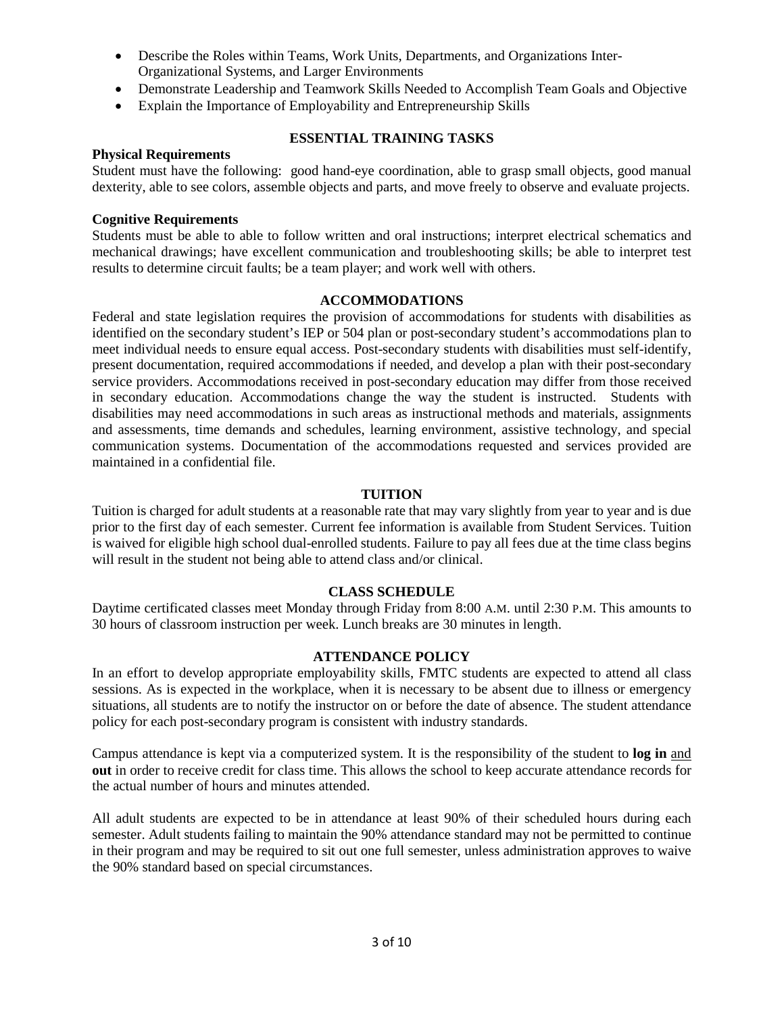- Describe the Roles within Teams, Work Units, Departments, and Organizations Inter-Organizational Systems, and Larger Environments
- Demonstrate Leadership and Teamwork Skills Needed to Accomplish Team Goals and Objective
- Explain the Importance of Employability and Entrepreneurship Skills

#### **Physical Requirements**

#### **ESSENTIAL TRAINING TASKS**

Student must have the following: good hand-eye coordination, able to grasp small objects, good manual dexterity, able to see colors, assemble objects and parts, and move freely to observe and evaluate projects.

#### **Cognitive Requirements**

Students must be able to able to follow written and oral instructions; interpret electrical schematics and mechanical drawings; have excellent communication and troubleshooting skills; be able to interpret test results to determine circuit faults; be a team player; and work well with others.

#### **ACCOMMODATIONS**

Federal and state legislation requires the provision of accommodations for students with disabilities as identified on the secondary student's IEP or 504 plan or post-secondary student's accommodations plan to meet individual needs to ensure equal access. Post-secondary students with disabilities must self-identify, present documentation, required accommodations if needed, and develop a plan with their post-secondary service providers. Accommodations received in post-secondary education may differ from those received in secondary education. Accommodations change the way the student is instructed. Students with disabilities may need accommodations in such areas as instructional methods and materials, assignments and assessments, time demands and schedules, learning environment, assistive technology, and special communication systems. Documentation of the accommodations requested and services provided are maintained in a confidential file.

#### **TUITION**

Tuition is charged for adult students at a reasonable rate that may vary slightly from year to year and is due prior to the first day of each semester. Current fee information is available from Student Services. Tuition is waived for eligible high school dual-enrolled students. Failure to pay all fees due at the time class begins will result in the student not being able to attend class and/or clinical.

#### **CLASS SCHEDULE**

Daytime certificated classes meet Monday through Friday from 8:00 A.M. until 2:30 P.M. This amounts to 30 hours of classroom instruction per week. Lunch breaks are 30 minutes in length.

#### **ATTENDANCE POLICY**

In an effort to develop appropriate employability skills, FMTC students are expected to attend all class sessions. As is expected in the workplace, when it is necessary to be absent due to illness or emergency situations, all students are to notify the instructor on or before the date of absence. The student attendance policy for each post-secondary program is consistent with industry standards.

Campus attendance is kept via a computerized system. It is the responsibility of the student to **log in** and **out** in order to receive credit for class time. This allows the school to keep accurate attendance records for the actual number of hours and minutes attended.

All adult students are expected to be in attendance at least 90% of their scheduled hours during each semester. Adult students failing to maintain the 90% attendance standard may not be permitted to continue in their program and may be required to sit out one full semester, unless administration approves to waive the 90% standard based on special circumstances.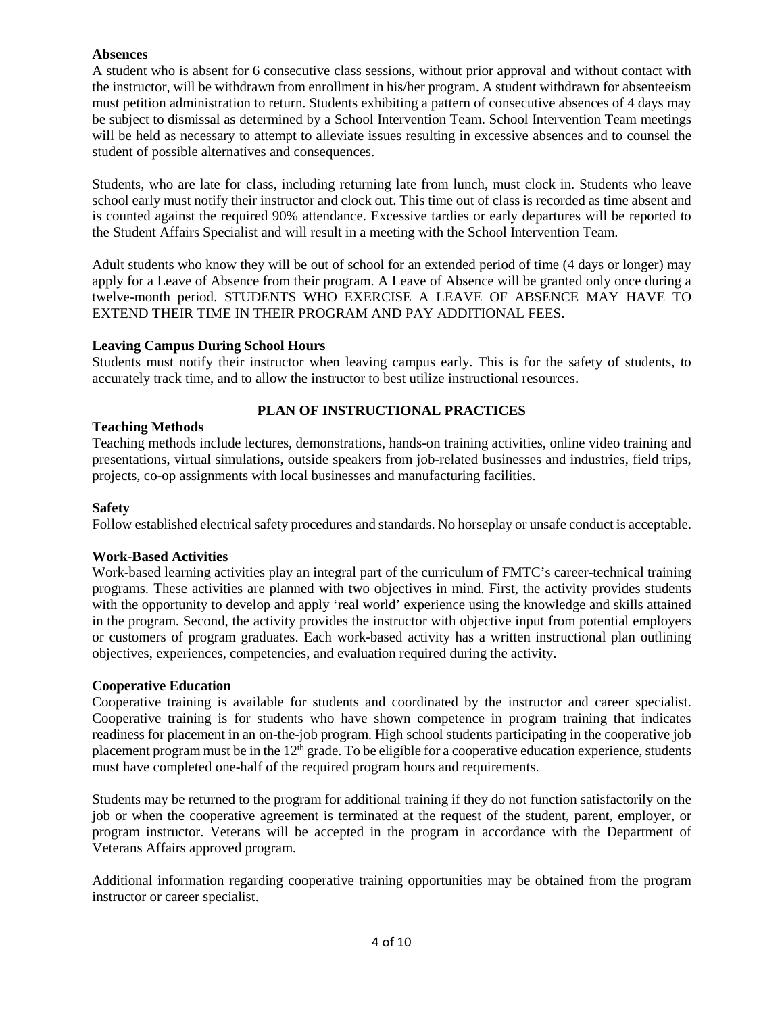#### **Absences**

A student who is absent for 6 consecutive class sessions, without prior approval and without contact with the instructor, will be withdrawn from enrollment in his/her program. A student withdrawn for absenteeism must petition administration to return. Students exhibiting a pattern of consecutive absences of 4 days may be subject to dismissal as determined by a School Intervention Team. School Intervention Team meetings will be held as necessary to attempt to alleviate issues resulting in excessive absences and to counsel the student of possible alternatives and consequences.

Students, who are late for class, including returning late from lunch, must clock in. Students who leave school early must notify their instructor and clock out. This time out of class is recorded as time absent and is counted against the required 90% attendance. Excessive tardies or early departures will be reported to the Student Affairs Specialist and will result in a meeting with the School Intervention Team.

Adult students who know they will be out of school for an extended period of time (4 days or longer) may apply for a Leave of Absence from their program. A Leave of Absence will be granted only once during a twelve-month period. STUDENTS WHO EXERCISE A LEAVE OF ABSENCE MAY HAVE TO EXTEND THEIR TIME IN THEIR PROGRAM AND PAY ADDITIONAL FEES.

#### **Leaving Campus During School Hours**

Students must notify their instructor when leaving campus early. This is for the safety of students, to accurately track time, and to allow the instructor to best utilize instructional resources.

#### **PLAN OF INSTRUCTIONAL PRACTICES**

#### **Teaching Methods**

Teaching methods include lectures, demonstrations, hands-on training activities, online video training and presentations, virtual simulations, outside speakers from job-related businesses and industries, field trips, projects, co-op assignments with local businesses and manufacturing facilities.

#### **Safety**

Follow established electrical safety procedures and standards. No horseplay or unsafe conduct is acceptable.

#### **Work-Based Activities**

Work-based learning activities play an integral part of the curriculum of FMTC's career-technical training programs. These activities are planned with two objectives in mind. First, the activity provides students with the opportunity to develop and apply 'real world' experience using the knowledge and skills attained in the program. Second, the activity provides the instructor with objective input from potential employers or customers of program graduates. Each work-based activity has a written instructional plan outlining objectives, experiences, competencies, and evaluation required during the activity.

#### **Cooperative Education**

Cooperative training is available for students and coordinated by the instructor and career specialist. Cooperative training is for students who have shown competence in program training that indicates readiness for placement in an on-the-job program. High school students participating in the cooperative job placement program must be in the  $12<sup>th</sup>$  grade. To be eligible for a cooperative education experience, students must have completed one-half of the required program hours and requirements.

Students may be returned to the program for additional training if they do not function satisfactorily on the job or when the cooperative agreement is terminated at the request of the student, parent, employer, or program instructor. Veterans will be accepted in the program in accordance with the Department of Veterans Affairs approved program.

Additional information regarding cooperative training opportunities may be obtained from the program instructor or career specialist.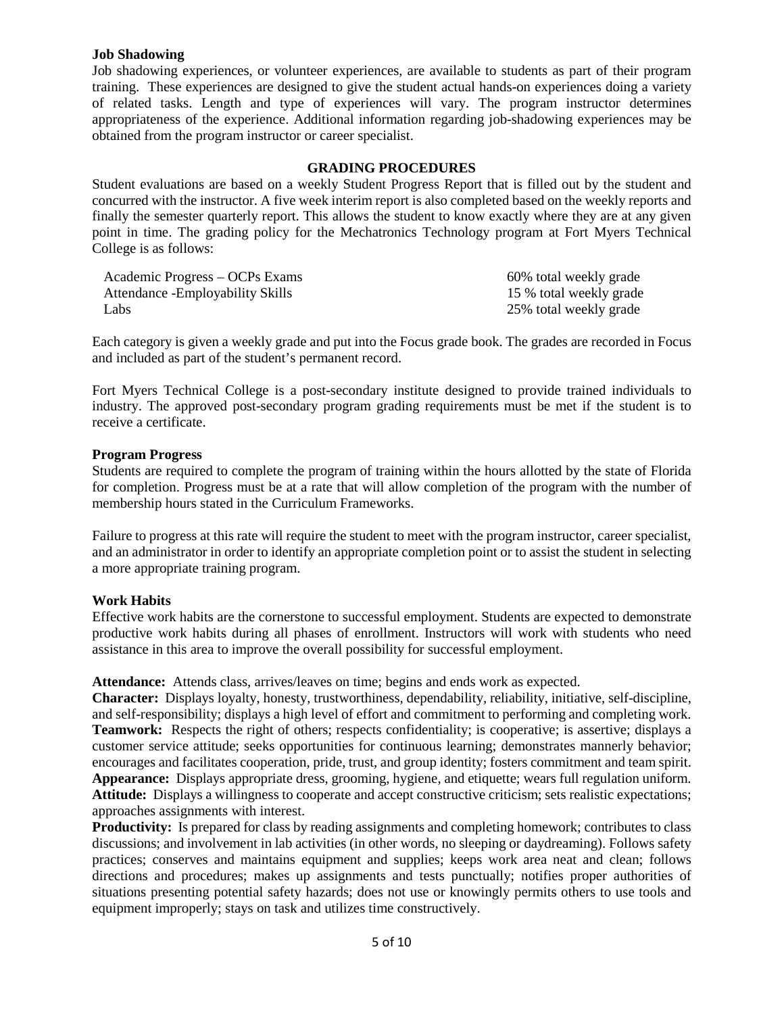#### **Job Shadowing**

Job shadowing experiences, or volunteer experiences, are available to students as part of their program training. These experiences are designed to give the student actual hands-on experiences doing a variety of related tasks. Length and type of experiences will vary. The program instructor determines appropriateness of the experience. Additional information regarding job-shadowing experiences may be obtained from the program instructor or career specialist.

#### **GRADING PROCEDURES**

Student evaluations are based on a weekly Student Progress Report that is filled out by the student and concurred with the instructor. A five week interim report is also completed based on the weekly reports and finally the semester quarterly report. This allows the student to know exactly where they are at any given point in time. The grading policy for the Mechatronics Technology program at Fort Myers Technical College is as follows:

| Academic Progress – OCPs Exams    | 60% total weekly grade  |
|-----------------------------------|-------------------------|
| Attendance - Employability Skills | 15 % total weekly grade |
| Labs                              | 25% total weekly grade  |

Each category is given a weekly grade and put into the Focus grade book. The grades are recorded in Focus and included as part of the student's permanent record.

Fort Myers Technical College is a post-secondary institute designed to provide trained individuals to industry. The approved post-secondary program grading requirements must be met if the student is to receive a certificate.

#### **Program Progress**

Students are required to complete the program of training within the hours allotted by the state of Florida for completion. Progress must be at a rate that will allow completion of the program with the number of membership hours stated in the Curriculum Frameworks.

Failure to progress at this rate will require the student to meet with the program instructor, career specialist, and an administrator in order to identify an appropriate completion point or to assist the student in selecting a more appropriate training program.

#### **Work Habits**

Effective work habits are the cornerstone to successful employment. Students are expected to demonstrate productive work habits during all phases of enrollment. Instructors will work with students who need assistance in this area to improve the overall possibility for successful employment.

**Attendance:** Attends class, arrives/leaves on time; begins and ends work as expected.

**Character:** Displays loyalty, honesty, trustworthiness, dependability, reliability, initiative, self-discipline, and self-responsibility; displays a high level of effort and commitment to performing and completing work. **Teamwork:** Respects the right of others; respects confidentiality; is cooperative; is assertive; displays a customer service attitude; seeks opportunities for continuous learning; demonstrates mannerly behavior; encourages and facilitates cooperation, pride, trust, and group identity; fosters commitment and team spirit. **Appearance:** Displays appropriate dress, grooming, hygiene, and etiquette; wears full regulation uniform. **Attitude:** Displays a willingness to cooperate and accept constructive criticism; sets realistic expectations; approaches assignments with interest.

**Productivity:** Is prepared for class by reading assignments and completing homework; contributes to class discussions; and involvement in lab activities (in other words, no sleeping or daydreaming). Follows safety practices; conserves and maintains equipment and supplies; keeps work area neat and clean; follows directions and procedures; makes up assignments and tests punctually; notifies proper authorities of situations presenting potential safety hazards; does not use or knowingly permits others to use tools and equipment improperly; stays on task and utilizes time constructively.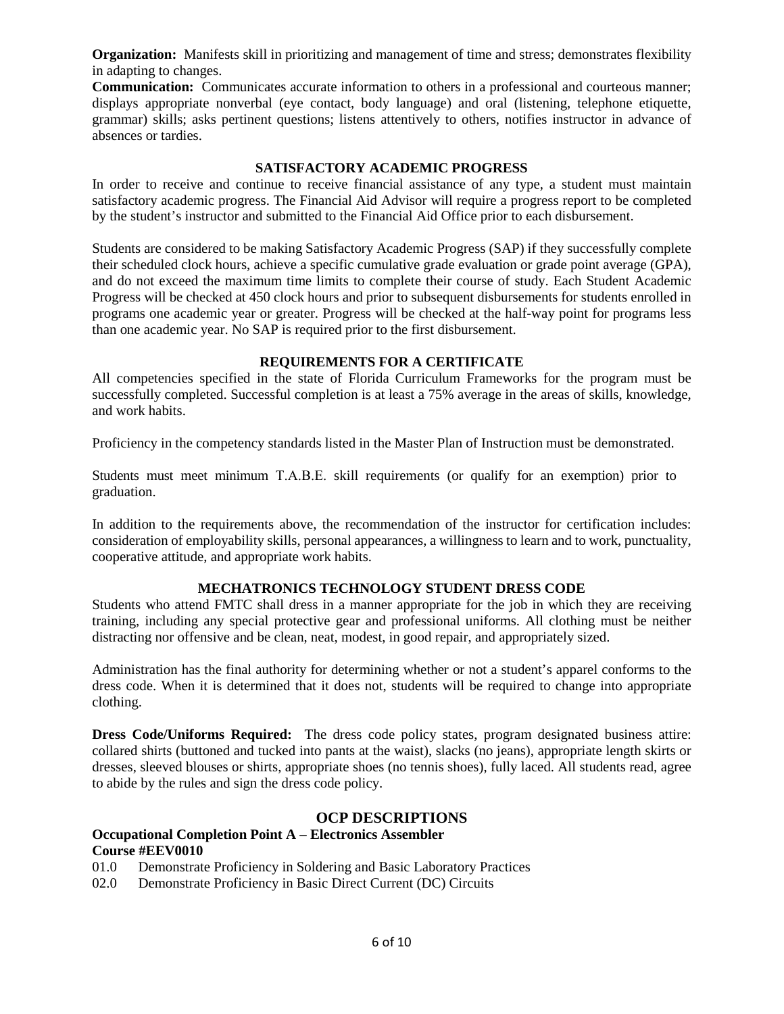**Organization:** Manifests skill in prioritizing and management of time and stress; demonstrates flexibility in adapting to changes.

**Communication:** Communicates accurate information to others in a professional and courteous manner; displays appropriate nonverbal (eye contact, body language) and oral (listening, telephone etiquette, grammar) skills; asks pertinent questions; listens attentively to others, notifies instructor in advance of absences or tardies.

#### **SATISFACTORY ACADEMIC PROGRESS**

In order to receive and continue to receive financial assistance of any type, a student must maintain satisfactory academic progress. The Financial Aid Advisor will require a progress report to be completed by the student's instructor and submitted to the Financial Aid Office prior to each disbursement.

Students are considered to be making Satisfactory Academic Progress (SAP) if they successfully complete their scheduled clock hours, achieve a specific cumulative grade evaluation or grade point average (GPA), and do not exceed the maximum time limits to complete their course of study. Each Student Academic Progress will be checked at 450 clock hours and prior to subsequent disbursements for students enrolled in programs one academic year or greater. Progress will be checked at the half-way point for programs less than one academic year. No SAP is required prior to the first disbursement.

#### **REQUIREMENTS FOR A CERTIFICATE**

All competencies specified in the state of Florida Curriculum Frameworks for the program must be successfully completed. Successful completion is at least a 75% average in the areas of skills, knowledge, and work habits.

Proficiency in the competency standards listed in the Master Plan of Instruction must be demonstrated.

Students must meet minimum T.A.B.E. skill requirements (or qualify for an exemption) prior to graduation.

In addition to the requirements above, the recommendation of the instructor for certification includes: consideration of employability skills, personal appearances, a willingness to learn and to work, punctuality, cooperative attitude, and appropriate work habits.

#### **MECHATRONICS TECHNOLOGY STUDENT DRESS CODE**

Students who attend FMTC shall dress in a manner appropriate for the job in which they are receiving training, including any special protective gear and professional uniforms. All clothing must be neither distracting nor offensive and be clean, neat, modest, in good repair, and appropriately sized.

Administration has the final authority for determining whether or not a student's apparel conforms to the dress code. When it is determined that it does not, students will be required to change into appropriate clothing.

**Dress Code/Uniforms Required:** The dress code policy states, program designated business attire: collared shirts (buttoned and tucked into pants at the waist), slacks (no jeans), appropriate length skirts or dresses, sleeved blouses or shirts, appropriate shoes (no tennis shoes), fully laced. All students read, agree to abide by the rules and sign the dress code policy.

#### **OCP DESCRIPTIONS**

#### **Occupational Completion Point A – Electronics Assembler Course #EEV0010**

- 01.0 Demonstrate Proficiency in Soldering and Basic Laboratory Practices
- 02.0 Demonstrate Proficiency in Basic Direct Current (DC) Circuits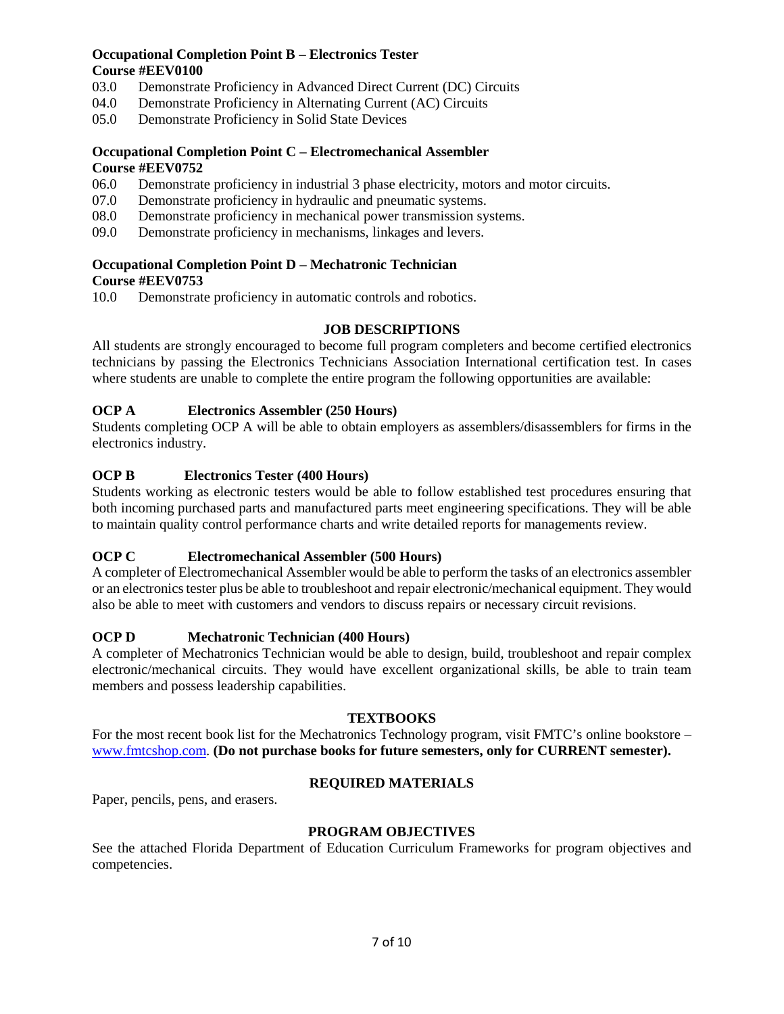#### **Occupational Completion Point B – Electronics Tester Course #EEV0100**

- 03.0 Demonstrate Proficiency in Advanced Direct Current (DC) Circuits
- 04.0 Demonstrate Proficiency in Alternating Current (AC) Circuits
- 05.0 Demonstrate Proficiency in Solid State Devices

#### **Occupational Completion Point C – Electromechanical Assembler Course #EEV0752**

- 06.0 Demonstrate proficiency in industrial 3 phase electricity, motors and motor circuits.
- 07.0 Demonstrate proficiency in hydraulic and pneumatic systems.
- 08.0 Demonstrate proficiency in mechanical power transmission systems.
- 09.0 Demonstrate proficiency in mechanisms, linkages and levers.

### **Occupational Completion Point D – Mechatronic Technician**

#### **Course #EEV0753**

10.0 Demonstrate proficiency in automatic controls and robotics.

#### **JOB DESCRIPTIONS**

All students are strongly encouraged to become full program completers and become certified electronics technicians by passing the Electronics Technicians Association International certification test. In cases where students are unable to complete the entire program the following opportunities are available:

#### **OCP A Electronics Assembler (250 Hours)**

Students completing OCP A will be able to obtain employers as assemblers/disassemblers for firms in the electronics industry.

#### **OCP B Electronics Tester (400 Hours)**

Students working as electronic testers would be able to follow established test procedures ensuring that both incoming purchased parts and manufactured parts meet engineering specifications. They will be able to maintain quality control performance charts and write detailed reports for managements review.

#### **OCP C Electromechanical Assembler (500 Hours)**

A completer of Electromechanical Assembler would be able to perform the tasks of an electronics assembler or an electronics tester plus be able to troubleshoot and repair electronic/mechanical equipment. They would also be able to meet with customers and vendors to discuss repairs or necessary circuit revisions.

#### **OCP D Mechatronic Technician (400 Hours)**

A completer of Mechatronics Technician would be able to design, build, troubleshoot and repair complex electronic/mechanical circuits. They would have excellent organizational skills, be able to train team members and possess leadership capabilities.

#### **TEXTBOOKS**

For the most recent book list for the Mechatronics Technology program, visit FMTC's online bookstore – [www.fmtcshop.com.](http://www.fmtcshop.com/) **(Do not purchase books for future semesters, only for CURRENT semester).**

#### **REQUIRED MATERIALS**

Paper, pencils, pens, and erasers.

#### **PROGRAM OBJECTIVES**

See the attached Florida Department of Education Curriculum Frameworks for program objectives and competencies.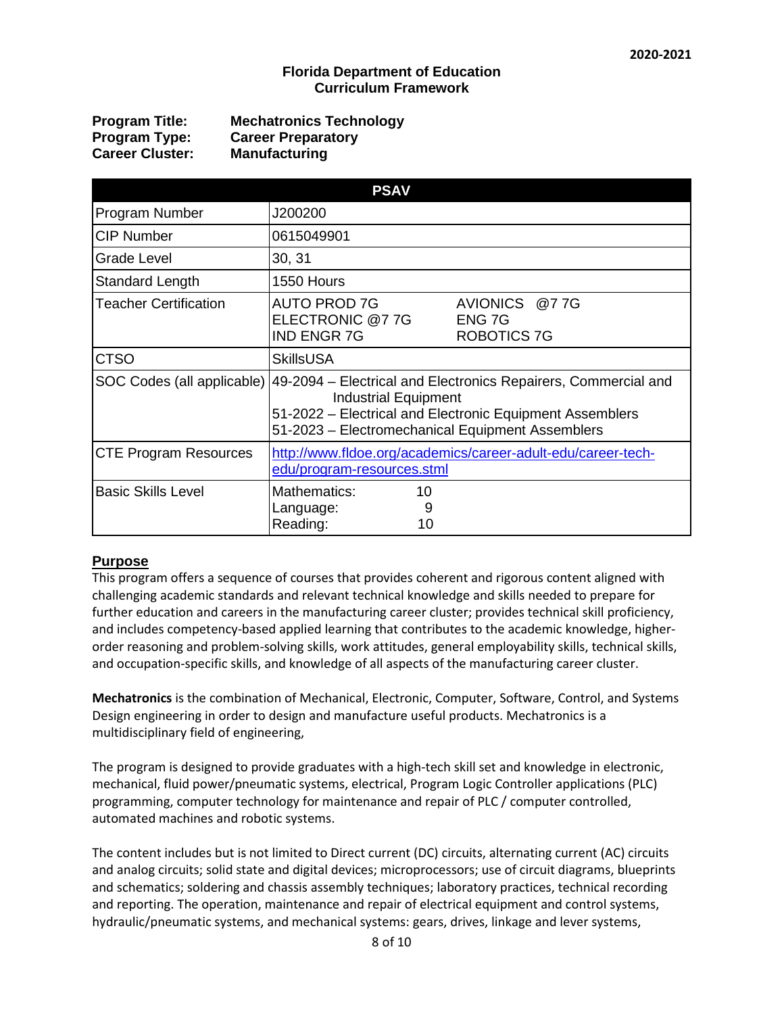#### **Florida Department of Education Curriculum Framework**

| <b>Program Title:</b>  | <b>Mechatronics Technology</b> |
|------------------------|--------------------------------|
| Program Type:          | <b>Career Preparatory</b>      |
| <b>Career Cluster:</b> | <b>Manufacturing</b>           |

| <b>PSAV</b>                  |                                                                                                                                                                                                               |                                               |  |  |  |
|------------------------------|---------------------------------------------------------------------------------------------------------------------------------------------------------------------------------------------------------------|-----------------------------------------------|--|--|--|
| Program Number               | J200200                                                                                                                                                                                                       |                                               |  |  |  |
| <b>CIP Number</b>            | 0615049901                                                                                                                                                                                                    |                                               |  |  |  |
| Grade Level                  | 30, 31                                                                                                                                                                                                        |                                               |  |  |  |
| Standard Length              | 1550 Hours                                                                                                                                                                                                    |                                               |  |  |  |
| <b>Teacher Certification</b> | <b>AUTO PROD 7G</b><br>ELECTRONIC @7 7G<br><b>IND ENGR 7G</b>                                                                                                                                                 | AVIONICS @77G<br>ENG 7G<br><b>ROBOTICS 7G</b> |  |  |  |
| <b>CTSO</b>                  | <b>SkillsUSA</b>                                                                                                                                                                                              |                                               |  |  |  |
| SOC Codes (all applicable)   | 49-2094 – Electrical and Electronics Repairers, Commercial and<br><b>Industrial Equipment</b><br>51-2022 - Electrical and Electronic Equipment Assemblers<br>51-2023 - Electromechanical Equipment Assemblers |                                               |  |  |  |
| <b>CTE Program Resources</b> | http://www.fldoe.org/academics/career-adult-edu/career-tech-<br>edu/program-resources.stml                                                                                                                    |                                               |  |  |  |
| <b>Basic Skills Level</b>    | Mathematics:<br>10<br>Language:<br>9<br>Reading:<br>10                                                                                                                                                        |                                               |  |  |  |

#### **Purpose**

This program offers a sequence of courses that provides coherent and rigorous content aligned with challenging academic standards and relevant technical knowledge and skills needed to prepare for further education and careers in the manufacturing career cluster; provides technical skill proficiency, and includes competency-based applied learning that contributes to the academic knowledge, higherorder reasoning and problem-solving skills, work attitudes, general employability skills, technical skills, and occupation-specific skills, and knowledge of all aspects of the manufacturing career cluster.

**Mechatronics** is the combination of Mechanical, Electronic, Computer, Software, Control, and Systems Design engineering in order to design and manufacture useful products. Mechatronics is a multidisciplinary field of engineering,

The program is designed to provide graduates with a high-tech skill set and knowledge in electronic, mechanical, fluid power/pneumatic systems, electrical, Program Logic Controller applications (PLC) programming, computer technology for maintenance and repair of PLC / computer controlled, automated machines and robotic systems.

The content includes but is not limited to Direct current (DC) circuits, alternating current (AC) circuits and analog circuits; solid state and digital devices; microprocessors; use of circuit diagrams, blueprints and schematics; soldering and chassis assembly techniques; laboratory practices, technical recording and reporting. The operation, maintenance and repair of electrical equipment and control systems, hydraulic/pneumatic systems, and mechanical systems: gears, drives, linkage and lever systems,